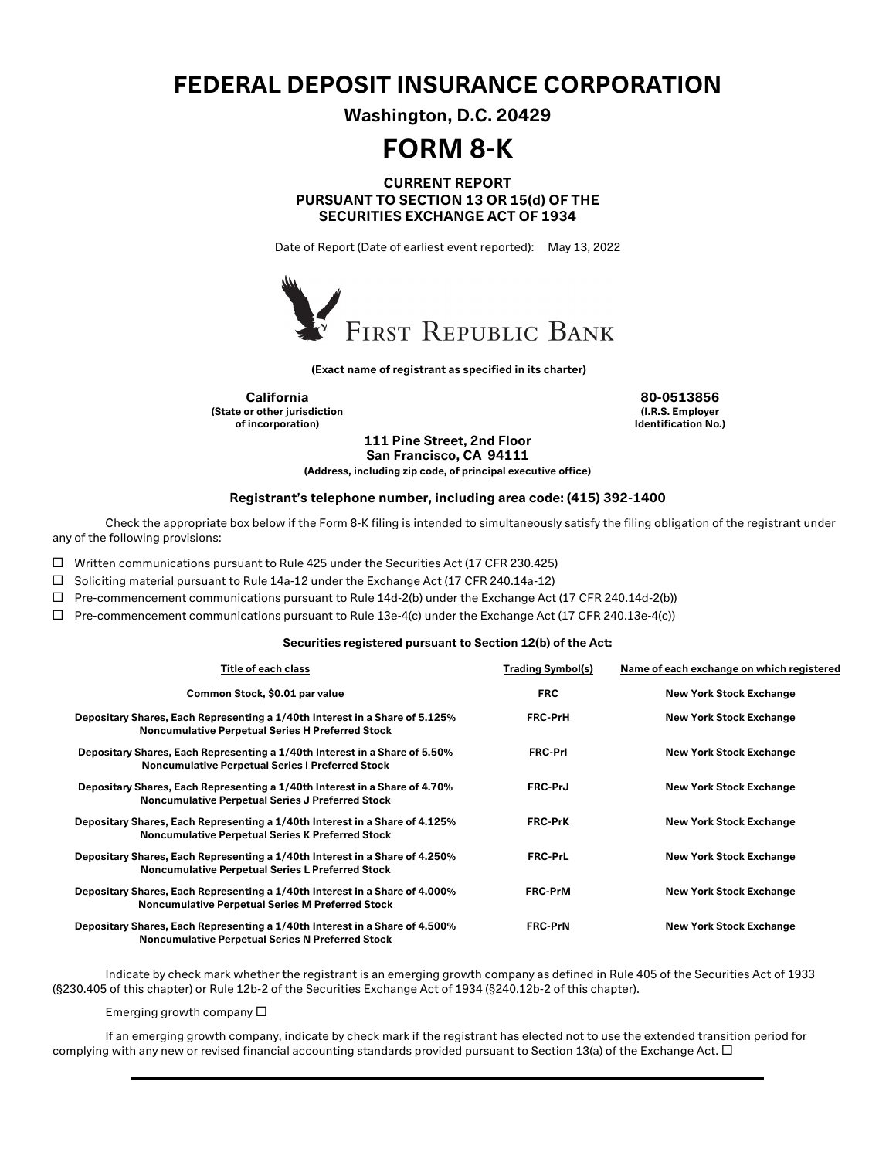## FEDERAL DEPOSIT INSURANCE CORPORATION

Washington, D.C. 20429

# FORM 8-K

### CURRENT REPORT PURSUANT TO SECTION 13 OR 15(d) OF THE SECURITIES EXCHANGE ACT OF 1934

Date of Report (Date of earliest event reported): May 13, 2022



(Exact name of registrant as specified in its charter)

California 80-0513856 (State or other jurisdiction of incorporation)

(I.R.S. Employer Identification No.)

111 Pine Street, 2nd Floor San Francisco, CA 94111

(Address, including zip code, of principal executive office)

#### Registrant's telephone number, including area code: (415) 392-1400

Check the appropriate box below if the Form 8-K filing is intended to simultaneously satisfy the filing obligation of the registrant under any of the following provisions:

 $\Box$  Written communications pursuant to Rule 425 under the Securities Act (17 CFR 230.425)

□ Soliciting material pursuant to Rule 14a-12 under the Exchange Act (17 CFR 240.14a-12)

 $\Box$  Pre-commencement communications pursuant to Rule 14d-2(b) under the Exchange Act (17 CFR 240.14d-2(b))

 $\Box$  Pre-commencement communications pursuant to Rule 13e-4(c) under the Exchange Act (17 CFR 240.13e-4(c))

#### Securities registered pursuant to Section 12(b) of the Act:

| Title of each class                                                                                                                    | <b>Trading Symbol(s)</b> | Name of each exchange on which registered |
|----------------------------------------------------------------------------------------------------------------------------------------|--------------------------|-------------------------------------------|
| Common Stock, \$0.01 par value                                                                                                         | <b>FRC</b>               | <b>New York Stock Exchange</b>            |
| Depositary Shares, Each Representing a 1/40th Interest in a Share of 5.125%<br><b>Noncumulative Perpetual Series H Preferred Stock</b> | <b>FRC-PrH</b>           | <b>New York Stock Exchange</b>            |
| Depositary Shares, Each Representing a 1/40th Interest in a Share of 5.50%<br><b>Noncumulative Perpetual Series I Preferred Stock</b>  | <b>FRC-Prl</b>           | <b>New York Stock Exchange</b>            |
| Depositary Shares, Each Representing a 1/40th Interest in a Share of 4.70%<br><b>Noncumulative Perpetual Series J Preferred Stock</b>  | <b>FRC-PrJ</b>           | <b>New York Stock Exchange</b>            |
| Depositary Shares, Each Representing a 1/40th Interest in a Share of 4.125%<br><b>Noncumulative Perpetual Series K Preferred Stock</b> | <b>FRC-PrK</b>           | <b>New York Stock Exchange</b>            |
| Depositary Shares, Each Representing a 1/40th Interest in a Share of 4.250%<br><b>Noncumulative Perpetual Series L Preferred Stock</b> | FRC-PrL                  | <b>New York Stock Exchange</b>            |
| Depositary Shares, Each Representing a 1/40th Interest in a Share of 4.000%<br><b>Noncumulative Perpetual Series M Preferred Stock</b> | <b>FRC-PrM</b>           | <b>New York Stock Exchange</b>            |
| Depositary Shares, Each Representing a 1/40th Interest in a Share of 4.500%<br><b>Noncumulative Perpetual Series N Preferred Stock</b> | <b>FRC-PrN</b>           | <b>New York Stock Exchange</b>            |

Indicate by check mark whether the registrant is an emerging growth company as defined in Rule 405 of the Securities Act of 1933 (§230.405 of this chapter) or Rule 12b-2 of the Securities Exchange Act of 1934 (§240.12b-2 of this chapter).

Emerging growth company  $\square$ 

If an emerging growth company, indicate by check mark if the registrant has elected not to use the extended transition period for complying with any new or revised financial accounting standards provided pursuant to Section 13(a) of the Exchange Act.  $\Box$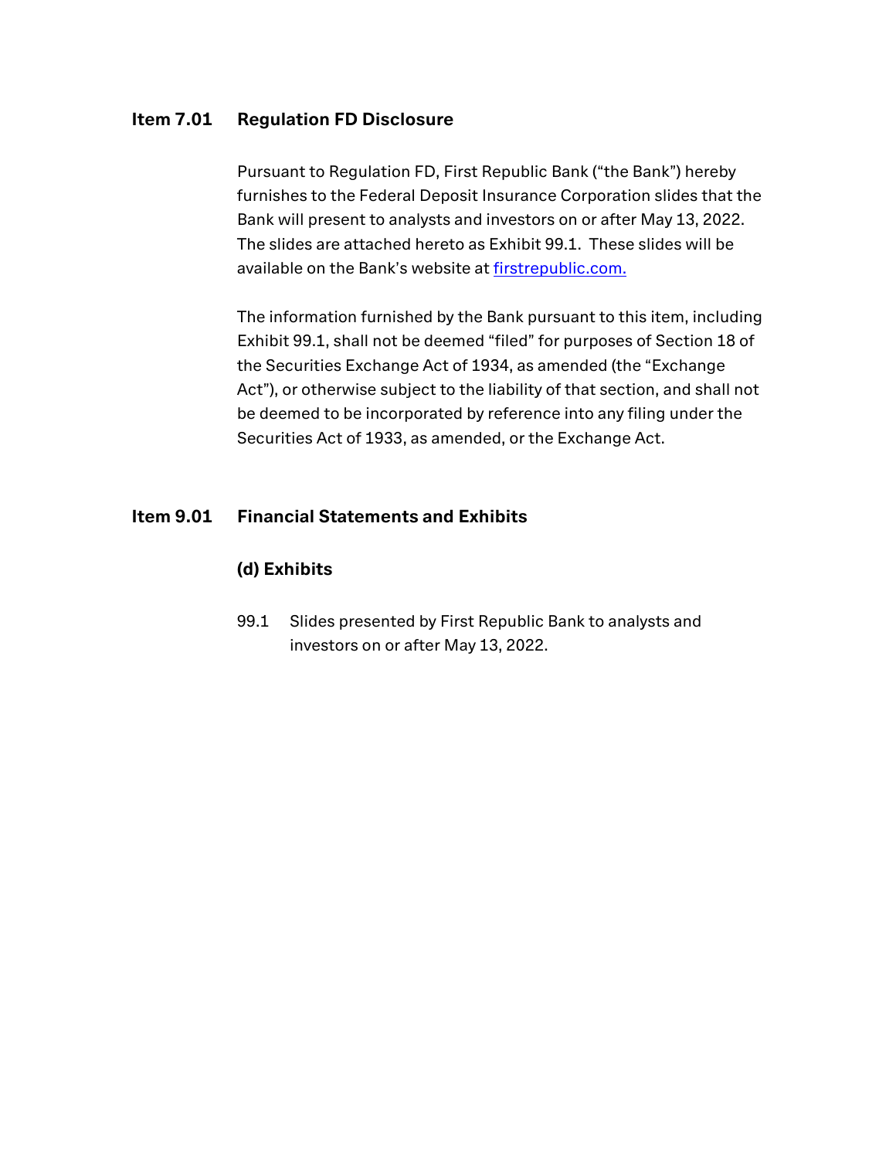## Item 7.01 Regulation FD Disclosure

Pursuant to Regulation FD, First Republic Bank ("the Bank") hereby furnishes to the Federal Deposit Insurance Corporation slides that the Bank will present to analysts and investors on or after May 13, 2022. The slides are attached hereto as Exhibit 99.1. These slides will be available on the Bank's website at [firstrepublic.com.](http://www.firstrepublic.com/)

The information furnished by the Bank pursuant to this item, including Exhibit 99.1, shall not be deemed "filed" for purposes of Section 18 of the Securities Exchange Act of 1934, as amended (the "Exchange Act"), or otherwise subject to the liability of that section, and shall not be deemed to be incorporated by reference into any filing under the Securities Act of 1933, as amended, or the Exchange Act.

## Item 9.01 Financial Statements and Exhibits

## (d) Exhibits

 99.1 Slides presented by First Republic Bank to analysts and investors on or after May 13, 2022.